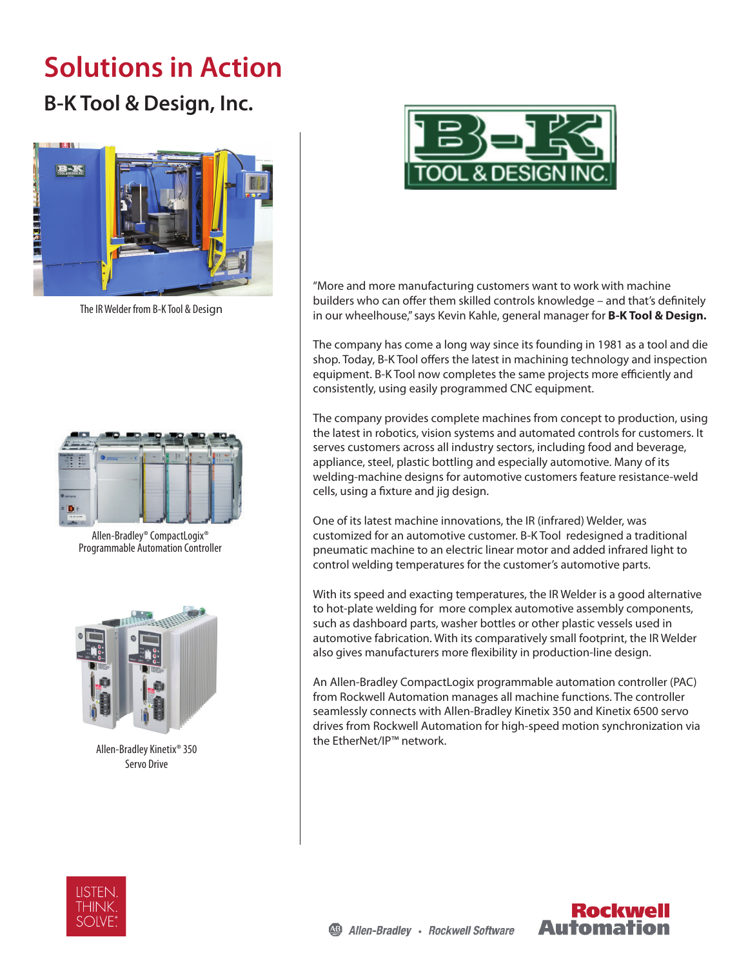## **Solutions in Action**

## **B-K Tool & Design, Inc.**



The IR Welder from B-K Tool & Design



Allen-Bradley® CompactLogix® Programmable Automation Controller



Allen-Bradley Kinetix® 350 Servo Drive



"More and more manufacturing customers want to work with machine builders who can offer them skilled controls knowledge – and that's definitely in our wheelhouse," says Kevin Kahle, general manager for **B-K Tool & Design.** 

The company has come a long way since its founding in 1981 as a tool and die shop. Today, B-K Tool offers the latest in machining technology and inspection equipment. B-K Tool now completes the same projects more efficiently and consistently, using easily programmed CNC equipment.

The company provides complete machines from concept to production, using the latest in robotics, vision systems and automated controls for customers. It serves customers across all industry sectors, including food and beverage, appliance, steel, plastic bottling and especially automotive. Many of its welding-machine designs for automotive customers feature resistance-weld cells, using a fixture and jig design.

One of its latest machine innovations, the IR (infrared) Welder, was customized for an automotive customer. B-K Tool redesigned a traditional pneumatic machine to an electric linear motor and added infrared light to control welding temperatures for the customer's automotive parts.

With its speed and exacting temperatures, the IR Welder is a good alternative to hot-plate welding for more complex automotive assembly components, such as dashboard parts, washer bottles or other plastic vessels used in automotive fabrication. With its comparatively small footprint, the IR Welder also gives manufacturers more flexibility in production-line design.

An Allen-Bradley CompactLogix programmable automation controller (PAC) from Rockwell Automation manages all machine functions. The controller seamlessly connects with Allen-Bradley Kinetix 350 and Kinetix 6500 servo drives from Rockwell Automation for high-speed motion synchronization via the EtherNet/IP™ network.